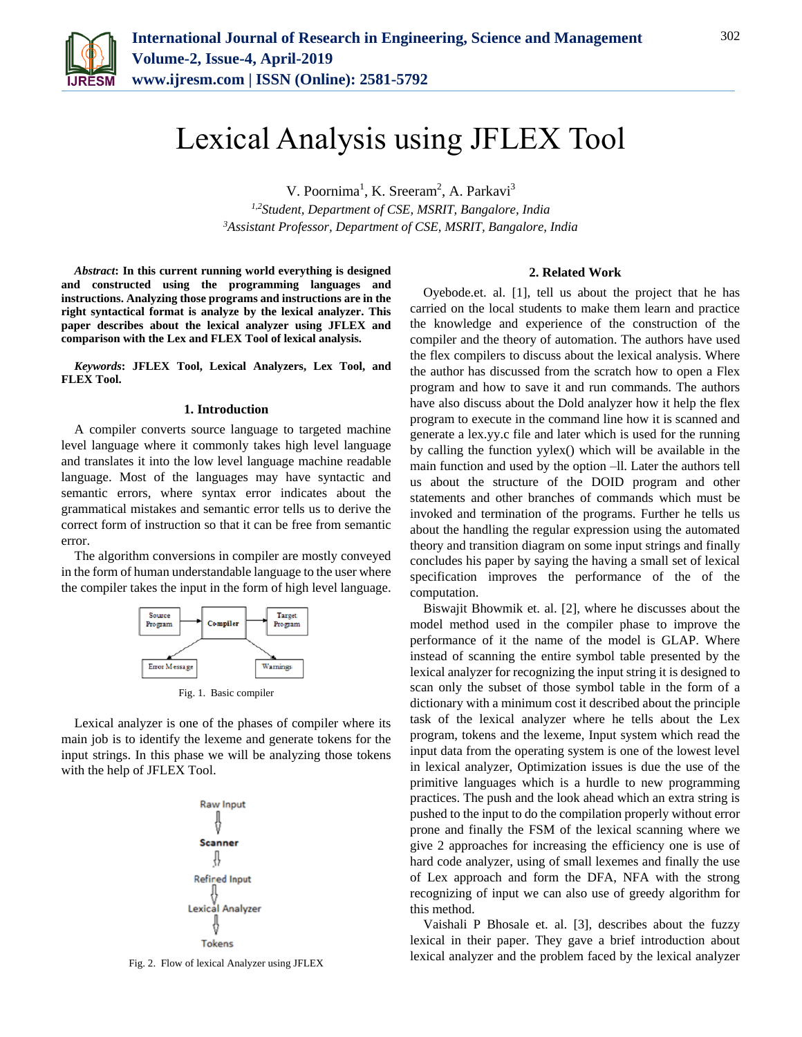

# Lexical Analysis using JFLEX Tool

V. Poornima<sup>1</sup>, K. Sreeram<sup>2</sup>, A. Parkavi<sup>3</sup> *1,2Student, Department of CSE, MSRIT, Bangalore, India 3Assistant Professor, Department of CSE, MSRIT, Bangalore, India*

*Abstract***: In this current running world everything is designed and constructed using the programming languages and instructions. Analyzing those programs and instructions are in the right syntactical format is analyze by the lexical analyzer. This paper describes about the lexical analyzer using JFLEX and comparison with the Lex and FLEX Tool of lexical analysis.** 

*Keywords***: JFLEX Tool, Lexical Analyzers, Lex Tool, and FLEX Tool.**

### **1. Introduction**

A compiler converts source language to targeted machine level language where it commonly takes high level language and translates it into the low level language machine readable language. Most of the languages may have syntactic and semantic errors, where syntax error indicates about the grammatical mistakes and semantic error tells us to derive the correct form of instruction so that it can be free from semantic error.

The algorithm conversions in compiler are mostly conveyed in the form of human understandable language to the user where the compiler takes the input in the form of high level language.



Fig. 1. Basic compiler

Lexical analyzer is one of the phases of compiler where its main job is to identify the lexeme and generate tokens for the input strings. In this phase we will be analyzing those tokens with the help of JFLEX Tool.



Fig. 2. Flow of lexical Analyzer using JFLEX

## **2. Related Work**

Oyebode.et. al. [1], tell us about the project that he has carried on the local students to make them learn and practice the knowledge and experience of the construction of the compiler and the theory of automation. The authors have used the flex compilers to discuss about the lexical analysis. Where the author has discussed from the scratch how to open a Flex program and how to save it and run commands. The authors have also discuss about the Dold analyzer how it help the flex program to execute in the command line how it is scanned and generate a lex.yy.c file and later which is used for the running by calling the function yylex() which will be available in the main function and used by the option –ll. Later the authors tell us about the structure of the DOID program and other statements and other branches of commands which must be invoked and termination of the programs. Further he tells us about the handling the regular expression using the automated theory and transition diagram on some input strings and finally concludes his paper by saying the having a small set of lexical specification improves the performance of the of the computation.

Biswajit Bhowmik et. al. [2], where he discusses about the model method used in the compiler phase to improve the performance of it the name of the model is GLAP. Where instead of scanning the entire symbol table presented by the lexical analyzer for recognizing the input string it is designed to scan only the subset of those symbol table in the form of a dictionary with a minimum cost it described about the principle task of the lexical analyzer where he tells about the Lex program, tokens and the lexeme, Input system which read the input data from the operating system is one of the lowest level in lexical analyzer, Optimization issues is due the use of the primitive languages which is a hurdle to new programming practices. The push and the look ahead which an extra string is pushed to the input to do the compilation properly without error prone and finally the FSM of the lexical scanning where we give 2 approaches for increasing the efficiency one is use of hard code analyzer, using of small lexemes and finally the use of Lex approach and form the DFA, NFA with the strong recognizing of input we can also use of greedy algorithm for this method.

Vaishali P Bhosale et. al. [3], describes about the fuzzy lexical in their paper. They gave a brief introduction about lexical analyzer and the problem faced by the lexical analyzer